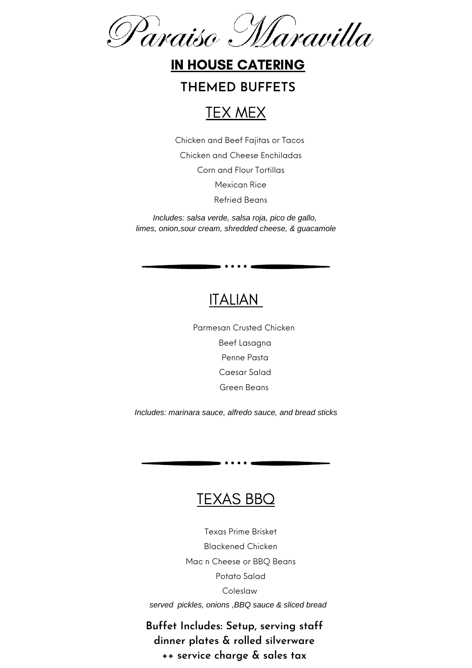Paraiso Maravilla

#### IN HOUSE CATERING

#### **THEMED BUFFETS**



Chicken and Beef Fajitas or Tacos Chicken and Cheese Enchiladas Corn and Flour Tortillas Mexican Rice Refried Beans

*Includes: salsa verde, salsa roja, pico de gallo, limes, onion,sour cream, shredded cheese, & guacamole*

## ITALIAN

 $\bullet\bullet\bullet\bullet$ 

Parmesan Crusted Chicken Beef Lasagna Penne Pasta Caesar Salad Green Beans

*Includes: marinara sauce, alfredo sauce, and bread sticks*

#### TEXAS BBQ

 $\bullet\hspace{0.1cm} \bullet\hspace{0.1cm}\bullet\hspace{0.1cm}\bullet\hspace{0.1cm} \bullet$ 

Texas Prime Brisket Blackened Chicken Mac n Cheese or BBQ Beans Potato Salad Coleslaw *served pickles, onions ,BBQ sauce & sliced bread*

**Buffet Includes: Setup, serving staff dinner plates & rolled silverware ++ service charge & sales tax**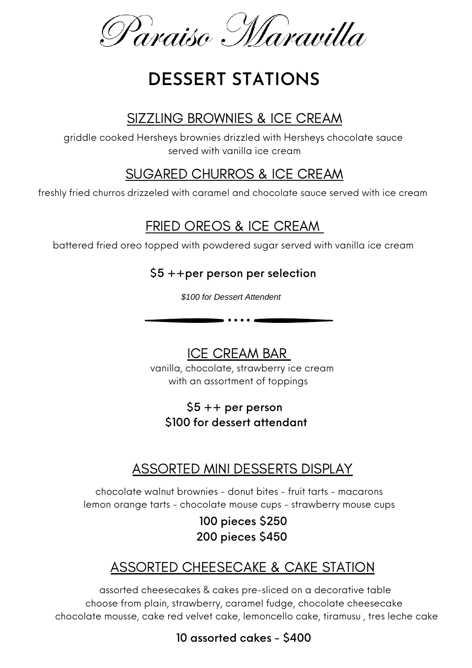Paraiso Maravilla

# **DESSERT STATIONS**

## SIZZLING BROWNIES & ICE CREAM

griddle cooked Hersheys brownies drizzled with Hersheys chocolate sauce served with vanilla ice cream

## SUGARED CHURROS & ICE CREAM

freshly fried churros drizzeled with caramel and chocolate sauce served with ice cream

## FRIED OREOS & ICE CREAM

battered fried oreo topped with powdered sugar served with vanilla ice cream

#### \$5 ++per person per selection

*\$100 for Dessert Attendent*

ICE CREAM BAR

. . . . . .

vanilla, chocolate, strawberry ice cream with an assortment of toppings

#### $$5 ++$  per person \$100 for dessert attendant

## ASSORTED MINI DESSERTS DISPLAY

chocolate walnut brownies - donut bites - fruit tarts - macarons lemon orange tarts - chocolate mouse cups - strawberry mouse cups

> 100 pieces \$250 200 pieces \$450

## ASSORTED CHEESECAKE & CAKE STATION

assorted cheesecakes & cakes pre-sliced on a decorative table choose from plain, strawberry, caramel fudge, chocolate cheesecake chocolate mousse, cake red velvet cake, lemoncello cake, tiramusu , tres leche cake

10 assorted cakes - \$400